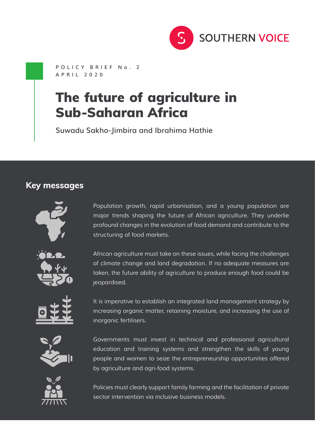

**POLICY BRIEF No. 2 APRIL 2020**

# The future of agriculture in Sub-Saharan Africa

**Suwadu Sakho-Jimbira and Ibrahima Hathie**

#### **Key messages**



Population growth, rapid urbanisation, and a young population are major trends shaping the future of African agriculture. They underlie profound changes in the evolution of food demand and contribute to the structuring of food markets.



African agriculture must take on these issues, while facing the challenges of climate change and land degradation. If no adequate measures are taken, the future ability of agriculture to produce enough food could be jeopardised.



It is imperative to establish an integrated land management strategy by increasing organic matter, retaining moisture, and increasing the use of inorganic fertilisers.



Governments must invest in technical and professional agricultural education and training systems and strengthen the skills of young people and women to seize the entrepreneurship opportunities offered by agriculture and agri-food systems.



Policies must clearly support family farming and the facilitation of private sector intervention via inclusive business models.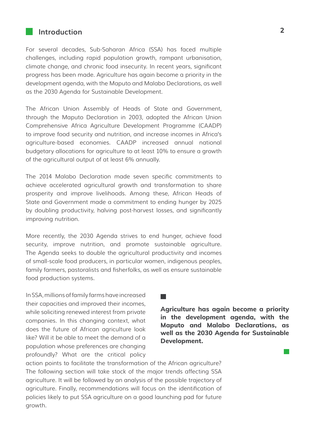## **Introduction 2**

For several decades, Sub-Saharan Africa (SSA) has faced multiple challenges, including rapid population growth, rampant urbanisation, climate change, and chronic food insecurity. In recent years, significant progress has been made. Agriculture has again become a priority in the development agenda, with the Maputo and Malabo Declarations, as well as the 2030 Agenda for Sustainable Development.

The African Union Assembly of Heads of State and Government, through the Maputo Declaration in 2003, adopted the African Union Comprehensive Africa Agriculture Development Programme (CAADP) to improve food security and nutrition, and increase incomes in Africa's agriculture-based economies. CAADP increased annual national budgetary allocations for agriculture to at least 10% to ensure a growth of the agricultural output of at least 6% annually.

The 2014 Malabo Declaration made seven specific commitments to achieve accelerated agricultural growth and transformation to share prosperity and improve livelihoods. Among these, African Heads of State and Government made a commitment to ending hunger by 2025 by doubling productivity, halving post-harvest losses, and significantly improving nutrition.

More recently, the 2030 Agenda strives to end hunger, achieve food security, improve nutrition, and promote sustainable agriculture. The Agenda seeks to double the agricultural productivity and incomes of small-scale food producers, in particular women, indigenous peoples, family farmers, pastoralists and fisherfolks, as well as ensure sustainable food production systems.

In SSA, millions of family farms have increased their capacities and improved their incomes, while soliciting renewed interest from private companies. In this changing context, what does the future of African agriculture look like? Will it be able to meet the demand of a population whose preferences are changing profoundly? What are the critical policy

**Agriculture has again become a priority in the development agenda, with the Maputo and Malabo Declarations, as well as the 2030 Agenda for Sustainable Development.**

**College** 

action points to facilitate the transformation of the African agriculture? The following section will take stock of the major trends affecting SSA agriculture. It will be followed by an analysis of the possible trajectory of agriculture. Finally, recommendations will focus on the identification of policies likely to put SSA agriculture on a good launching pad for future growth.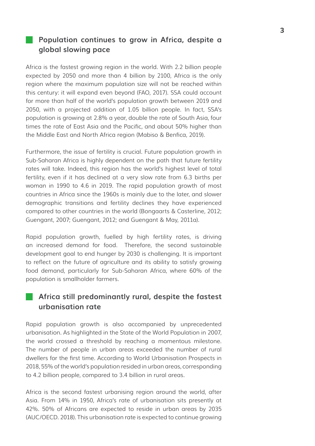### **Population continues to grow in Africa, despite a global slowing pace**

Africa is the fastest growing region in the world. With 2.2 billion people expected by 2050 and more than 4 billion by 2100, Africa is the only region where the maximum population size will not be reached within this century: it will expand even beyond (FAO, 2017). SSA could account for more than half of the world's population growth between 2019 and 2050, with a projected addition of 1.05 billion people. In fact, SSA's population is growing at 2.8% a year, double the rate of South Asia, four times the rate of East Asia and the Pacific, and about 50% higher than the Middle East and North Africa region (Mabiso & Benfica, 2019).

Furthermore, the issue of fertility is crucial. Future population growth in Sub-Saharan Africa is highly dependent on the path that future fertility rates will take. Indeed, this region has the world's highest level of total fertility, even if it has declined at a very slow rate from 6.3 births per woman in 1990 to 4.6 in 2019. The rapid population growth of most countries in Africa since the 1960s is mainly due to the later, and slower demographic transitions and fertility declines they have experienced compared to other countries in the world (Bongaarts & Casterline, 2012; Guengant, 2007; Guengant, 2012; and Guengant & May, 2011a).

Rapid population growth, fuelled by high fertility rates, is driving an increased demand for food. Therefore, the second sustainable development goal to end hunger by 2030 is challenging. It is important to reflect on the future of agriculture and its ability to satisfy growing food demand, particularly for Sub-Saharan Africa, where 60% of the population is smallholder farmers.

#### **Africa still predominantly rural, despite the fastest urbanisation rate**

Rapid population growth is also accompanied by unprecedented urbanisation. As highlighted in the State of the World Population in 2007, the world crossed a threshold by reaching a momentous milestone. The number of people in urban areas exceeded the number of rural dwellers for the first time. According to World Urbanisation Prospects in 2018, 55% of the world's population resided in urban areas, corresponding to 4.2 billion people, compared to 3.4 billion in rural areas.

Africa is the second fastest urbanising region around the world, after Asia. From 14% in 1950, Africa's rate of urbanisation sits presently at 42%. 50% of Africans are expected to reside in urban areas by 2035 (AUC/OECD. 2018). This urbanisation rate is expected to continue growing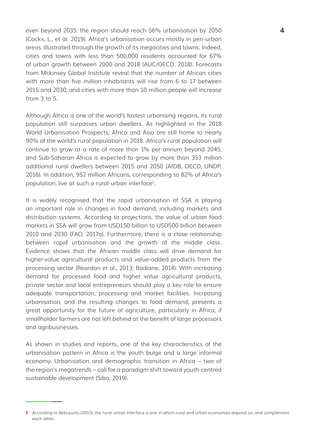even beyond 2035: the region should reach 56% urbanisation by 2050 **4** (Cockx, L., et al. 2019). Africa's urbanisation occurs mostly in peri-urban areas, illustrated through the growth of its megacities and towns. Indeed, cities and towns with less than 500,000 residents accounted for 67% of urban growth between 2000 and 2018 (AUC/OECD. 2018). Forecasts from Mckinsey Global Institute reveal that the number of African cities with more than five million inhabitants will rise from 6 to 17 between 2015 and 2030, and cities with more than 10 million people will increase from  $3$  to  $5$ .

Although Africa is one of the world's fastest urbanising regions, its rural population still surpasses urban dwellers. As highlighted in the 2018 World Urbanisation Prospects, Africa and Asia are still home to nearly 90% of the world's rural population in 2018. Africa's rural population will continue to grow at a rate of more than 1% per annum beyond 2045, and Sub-Saharan Africa is expected to grow by more than 353 million additional rural dwellers between 2015 and 2050 (AfDB, OECD, UNDP. 2016). In addition, 952 million Africans, corresponding to 82% of Africa's population, live at such a rural-urban interface<sup>1</sup>.

It is widely recognised that the rapid urbanisation of SSA is playing an important role in changes in food demand, including markets and distribution systems. According to projections, the value of urban food markets in SSA will grow from USD150 billion to USD500 billion between 2010 and 2030 (FAO, 2017a). Furthermore, there is a close relationship between rapid urbanisation and the growth of the middle class. Evidence shows that the African middle class will drive demand for higher-value agricultural products and value-added products from the processing sector (Reardon et al., 2013; Badiane, 2014). With increasing demand for processed food and higher value agricultural products, private sector and local entrepreneurs should play a key role to ensure adequate transportation, processing and market facilities. Increasing urbanisation, and the resulting changes to food demand, presents a great opportunity for the future of agriculture, particularly in Africa, if smallholder farmers are not left behind at the benefit of large processors and agribusinesses.

As shown in studies and reports, one of the key characteristics of the urbanisation pattern in Africa is the youth bulge and a large informal economy. Urbanisation and demographic transition in Africa – two of the region's megatrends – call for a paradigm shift toward youth-centred sustainable development (Siba, 2019).

According to Akkoyunlu (2015), the rural-urban interface is one in which rural and urban economies depend on, and complement 1each other.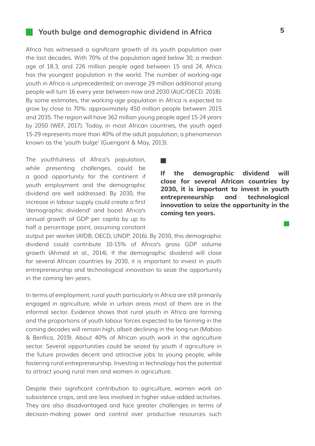#### **Youth bulge and demographic dividend in Africa 5**

Africa has witnessed a significant growth of its youth population over the last decades. With 70% of the population aged below 30, a median age of 18.3, and 226 million people aged between 15 and 24, Africa has the youngest population in the world. The number of working-age youth in Africa is unprecedented; on average 29 million additional young people will turn 16 every year between now and 2030 (AUC/OECD. 2018). By some estimates, the working-age population in Africa is expected to grow by close to 70%: approximately 450 million people between 2015 and 2035. The region will have 362 million young people aged 15-24 years by 2050 (WEF, 2017). Today, in most African countries, the youth aged 15-29 represents more than 40% of the adult population, a phenomenon known as the 'youth bulge' (Guengant & May, 2013).

**Talling** 

The youthfulness of Africa's population, while presenting challenges, could be a good opportunity for the continent if youth employment and the demographic dividend are well addressed. By 2030, the increase in labour supply could create a first 'demographic dividend' and boost Africa's annual growth of GDP per capita by up to half a percentage point, assuming constant

**If the demographic dividend will close for several African countries by 2030, it is important to invest in youth entrepreneurship and technological innovation to seize the opportunity in the coming ten years.**

output per worker (AfDB, OECD, UNDP. 2016). By 2030, this demographic dividend could contribute 10-15% of Africa's gross GDP volume growth (Ahmed et al., 2014). If the demographic dividend will close for several African countries by 2030, it is important to invest in youth entrepreneurship and technological innovation to seize the opportunity in the coming ten years.

In terms of employment, rural youth particularly in Africa are still primarily engaged in agriculture, while in urban areas most of them are in the informal sector. Evidence shows that rural youth in Africa are farming and the proportions of youth labour forces expected to be farming in the coming decades will remain high, albeit declining in the long run (Mabiso & Benfica, 2019). About 40% of African youth work in the agriculture sector. Several opportunities could be seized by youth if agriculture in the future provides decent and attractive jobs to young people, while fostering rural entrepreneurship. Investing in technology has the potential to attract young rural men and women in agriculture.

Despite their significant contribution to agriculture, women work on subsistence crops, and are less involved in higher value-added activities. They are also disadvantaged and face greater challenges in terms of decision-making power and control over productive resources such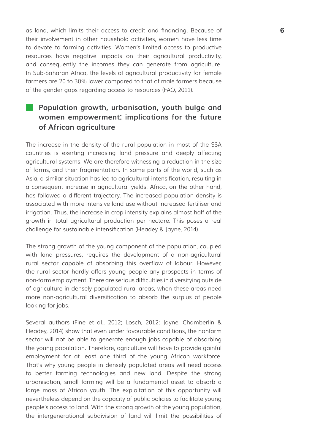as land, which limits their access to credit and financing. Because of **6** their involvement in other household activities, women have less time to devote to farming activities. Women's limited access to productive resources have negative impacts on their agricultural productivity, and consequently the incomes they can generate from agriculture. In Sub-Saharan Africa, the levels of agricultural productivity for female farmers are 20 to 30% lower compared to that of male farmers because of the gender gaps regarding access to resources (FAO, 2011).

## **Population growth, urbanisation, youth bulge and women empowerment: implications for the future of African agriculture**

The increase in the density of the rural population in most of the SSA countries is exerting increasing land pressure and deeply affecting agricultural systems. We are therefore witnessing a reduction in the size of farms, and their fragmentation. In some parts of the world, such as Asia, a similar situation has led to agricultural intensification, resulting in a consequent increase in agricultural yields. Africa, on the other hand, has followed a different trajectory. The increased population density is associated with more intensive land use without increased fertiliser and irrigation. Thus, the increase in crop intensity explains almost half of the growth in total agricultural production per hectare. This poses a real challenge for sustainable intensification (Headey & Jayne, 2014).

The strong growth of the young component of the population, coupled with land pressures, requires the development of a non-agricultural rural sector capable of absorbing this overflow of labour. However, the rural sector hardly offers young people any prospects in terms of non-farm employment. There are serious difficulties in diversifying outside of agriculture in densely populated rural areas, when these areas need more non-agricultural diversification to absorb the surplus of people looking for jobs.

Several authors (Fine et al., 2012; Losch, 2012; Jayne, Chamberlin & Headey, 2014) show that even under favourable conditions, the nonfarm sector will not be able to generate enough jobs capable of absorbing the young population. Therefore, agriculture will have to provide gainful employment for at least one third of the young African workforce. That's why young people in densely populated areas will need access to better farming technologies and new land. Despite the strong urbanisation, small farming will be a fundamental asset to absorb a large mass of African youth. The exploitation of this opportunity will nevertheless depend on the capacity of public policies to facilitate young people's access to land. With the strong growth of the young population, the intergenerational subdivision of land will limit the possibilities of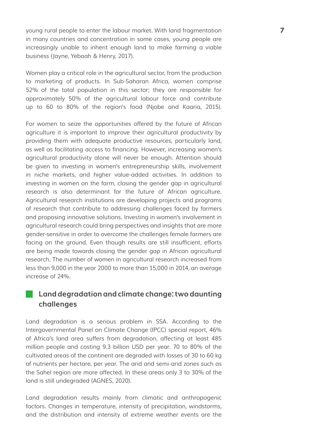young rural people to enter the labour market. With land fragmentation **7** in many countries and concentration in some cases, young people are increasingly unable to inherit enough land to make farming a viable business (Jayne, Yeboah & Henry, 2017).

Women play a critical role in the agricultural sector, from the production to marketing of products. In Sub-Saharan Africa, women comprise 52% of the total population in this sector; they are responsible for approximately 50% of the agricultural labour force and contribute up to 60 to 80% of the region's food (Njobe and Kaaria, 2015).

For women to seize the opportunities offered by the future of African agriculture it is important to improve their agricultural productivity by providing them with adequate productive resources, particularly land, as well as facilitating access to financing. However, increasing women's agricultural productivity alone will never be enough. Attention should be given to investing in women's entrepreneurship skills, involvement in niche markets, and higher value-added activities. In addition to investing in women on the farm, closing the gender gap in agricultural research is also determinant for the future of African agriculture. Agricultural research institutions are developing projects and programs of research that contribute to addressing challenges faced by farmers and proposing innovative solutions. Investing in women's involvement in agricultural research could bring perspectives and insights that are more gender-sensitive in order to overcome the challenges female farmers are facing on the ground. Even though results are still insufficient, efforts are being made towards closing the gender gap in African agricultural research. The number of women in agricultural research increased from less than 9,000 in the year 2000 to more than 15,000 in 2014, an average increase of 24%.

#### **Land degradation and climate change: two daunting challenges**

Land degradation is a serious problem in SSA. According to the Intergovernmental Panel on Climate Change (IPCC) special report, 46% of Africa's land area suffers from degradation, affecting at least 485 million people and costing 9.3 billion USD per year. 70 to 80% of the cultivated areas of the continent are degraded with losses of 30 to 60 kg of nutrients per hectare, per year. The arid and semi-arid zones such as the Sahel region are more affected. In these areas only 3 to 30% of the land is still undegraded (AGNES, 2020).

Land degradation results mainly from climatic and anthropogenic factors. Changes in temperature, intensity of precipitation, windstorms, and the distribution and intensity of extreme weather events are the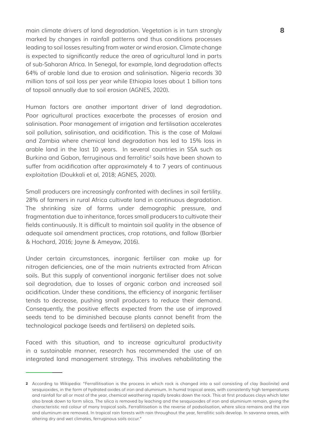main climate drivers of land degradation. Vegetation is in turn strongly **8** marked by changes in rainfall patterns and thus conditions processes leading to soil losses resulting from water or wind erosion. Climate change is expected to significantly reduce the area of agricultural land in parts of sub-Saharan Africa. In Senegal, for example, land degradation affects 64% of arable land due to erosion and salinisation. Nigeria records 30 million tons of soil loss per year while Ethiopia loses about 1 billion tons of topsoil annually due to soil erosion (AGNES, 2020).

Human factors are another important driver of land degradation. Poor agricultural practices exacerbate the processes of erosion and salinisation. Poor management of irrigation and fertilisation accelerates soil pollution, salinisation, and acidification. This is the case of Malawi and Zambia where chemical land degradation has led to 15% loss in arable land in the last 10 years. In several countries in SSA such as Burkina and Gabon, ferruginous and ferralitic<sup>2</sup> soils have been shown to suffer from acidification after approximately 4 to 7 years of continuous exploitation (Doukkali et al, 2018; AGNES, 2020).

Small producers are increasingly confronted with declines in soil fertility. 28% of farmers in rural Africa cultivate land in continuous degradation. The shrinking size of farms under demographic pressure, and fragmentation due to inheritance, forces small producers to cultivate their fields continuously. It is difficult to maintain soil quality in the absence of adequate soil amendment practices, crop rotations, and fallow (Barbier & Hochard, 2016; Jayne & Ameyaw, 2016).

Under certain circumstances, inorganic fertiliser can make up for nitrogen deficiencies, one of the main nutrients extracted from African soils. But this supply of conventional inorganic fertiliser does not solve soil degradation, due to losses of organic carbon and increased soil acidification. Under these conditions, the efficiency of inorganic fertiliser tends to decrease, pushing small producers to reduce their demand. Consequently, the positive effects expected from the use of improved seeds tend to be diminished because plants cannot benefit from the technological package (seeds and fertilisers) on depleted soils.

Faced with this situation, and to increase agricultural productivity in a sustainable manner, research has recommended the use of an integrated land management strategy. This involves rehabilitating the

<sup>2</sup> According to Wikipedia: "Ferrallitisation is the process in which rock is changed into a soil consisting of clay (kaolinite) and sesquioxides, in the form of hydrated oxides of iron and aluminium. In humid tropical areas, with consistently high temperatures and rainfall for all or most of the year, chemical weathering rapidly breaks down the rock. This at first produces clays which later also break down to form silica. The silica is removed by leaching and the sesquioxides of iron and aluminium remain, giving the characteristic red colour of many tropical soils. Ferrallitisation is the reverse of podsolisation, where silica remains and the iron and aluminum are removed. In tropical rain forests with rain throughout the year, ferrallitic soils develop. In savanna areas, with altering dry and wet climates, ferruginous soils occur."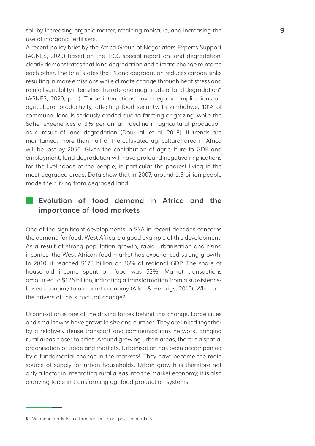soil by increasing organic matter, retaining moisture, and increasing the **9** use of inorganic fertilisers.

A recent policy brief by the Africa Group of Negotiators Experts Support (AGNES, 2020) based on the IPCC special report on land degradation, clearly demonstrates that land degradation and climate change reinforce each other. The brief states that "Land degradation reduces carbon sinks resulting in more emissions while climate change through heat stress and rainfall variability intensifies the rate and magnitude of land degradation" (AGNES, 2020, p. 1). These interactions have negative implications on agricultural productivity, affecting food security. In Zimbabwe, 10% of communal land is seriously eroded due to farming or grazing, while the Sahel experiences a 3% per annum decline in agricultural production as a result of land degradation (Doukkali et al, 2018). If trends are maintained, more than half of the cultivated agricultural area in Africa will be lost by 2050. Given the contribution of agriculture to GDP and employment, land degradation will have profound negative implications for the livelihoods of the people, in particular the poorest living in the most degraded areas. Data show that in 2007, around 1.5 billion people made their living from degraded land.

#### **Evolution of food demand in Africa and the importance of food markets**

One of the significant developments in SSA in recent decades concerns the demand for food. West Africa is a good example of this development. As a result of strong population growth, rapid urbanisation and rising incomes, the West African food market has experienced strong growth. In 2010, it reached \$178 billion or 36% of regional GDP. The share of household income spent on food was 52%. Market transactions amounted to \$126 billion, indicating a transformation from a subsistencebased economy to a market economy (Allen & Heinrigs, 2016). What are the drivers of this structural change?

Urbanisation is one of the driving forces behind this change. Large cities and small towns have grown in size and number. They are linked together by a relatively dense transport and communications network, bringing rural areas closer to cities. Around growing urban areas, there is a spatial organisation of trade and markets. Urbanisation has been accompanied by a fundamental change in the markets<sup>3</sup>. They have become the main source of supply for urban households. Urban growth is therefore not only a factor in integrating rural areas into the market economy; it is also a driving force in transforming agrifood production systems.

<sup>3</sup> We mean markets in a broader sense, not physical markets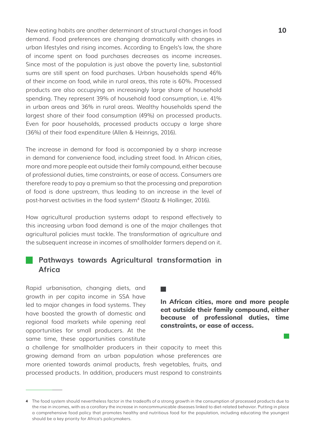New eating habits are another determinant of structural changes in food **10** demand. Food preferences are changing dramatically with changes in urban lifestyles and rising incomes. According to Engels's law, the share of income spent on food purchases decreases as income increases. Since most of the population is just above the poverty line, substantial sums are still spent on food purchases. Urban households spend 46% of their income on food, while in rural areas, this rate is 60%. Processed products are also occupying an increasingly large share of household spending. They represent 39% of household food consumption, i.e. 41% in urban areas and 36% in rural areas. Wealthy households spend the largest share of their food consumption (49%) on processed products. Even for poor households, processed products occupy a large share (36%) of their food expenditure (Allen & Heinrigs, 2016).

The increase in demand for food is accompanied by a sharp increase in demand for convenience food, including street food. In African cities, more and more people eat outside their family compound, either because of professional duties, time constraints, or ease of access. Consumers are therefore ready to pay a premium so that the processing and preparation of food is done upstream, thus leading to an increase in the level of post-harvest activities in the food system<sup>4</sup> (Staatz & Hollinger, 2016).

How agricultural production systems adapt to respond effectively to this increasing urban food demand is one of the major challenges that agricultural policies must tackle. The transformation of agriculture and the subsequent increase in incomes of smallholder farmers depend on it.

## **Pathways towards Agricultural transformation in Africa**

Rapid urbanisation, changing diets, and growth in per capita income in SSA have led to major changes in food systems. They have boosted the growth of domestic and regional food markets while opening real opportunities for small producers. At the same time, these opportunities constitute

**COLLEGE** 

**In African cities, more and more people eat outside their family compound, either because of professional duties, time constraints, or ease of access.** 

a challenge for smallholder producers in their capacity to meet this growing demand from an urban population whose preferences are more oriented towards animal products, fresh vegetables, fruits, and processed products. In addition, producers must respond to constraints

<sup>4</sup> The food system should nevertheless factor in the tradeoffs of a strong growth in the consumption of processed products due to the rise in incomes, with as a corollary the increase in noncommunicable diseases linked to diet-related behavior. Putting in place a comprehensive food policy that promotes healthy and nutritious food for the population, including educating the youngest should be a key priority for Africa's policymakers.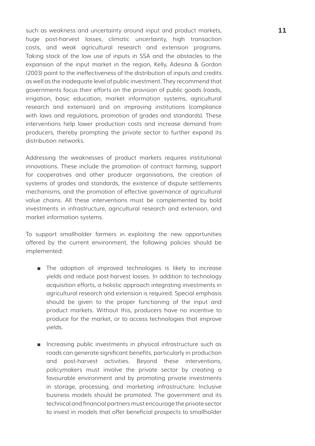such as weakness and uncertainty around input and product markets, **11** huge post-harvest losses, climatic uncertainty, high transaction costs, and weak agricultural research and extension programs. Taking stock of the low use of inputs in SSA and the obstacles to the expansion of the input market in the region, Kelly, Adesina & Gordon (2003) point to the ineffectiveness of the distribution of inputs and credits as well as the inadequate level of public investment. They recommend that governments focus their efforts on the provision of public goods (roads, irrigation, basic education, market information systems, agricultural research and extension) and on improving institutions (compliance with laws and regulations, promotion of grades and standards). These interventions help lower production costs and increase demand from producers, thereby prompting the private sector to further expand its distribution networks.

Addressing the weaknesses of product markets requires institutional innovations. These include the promotion of contract farming, support for cooperatives and other producer organisations, the creation of systems of grades and standards, the existence of dispute settlements mechanisms, and the promotion of effective governance of agricultural value chains. All these interventions must be complemented by bold investments in infrastructure, agricultural research and extension, and market information systems.

To support smallholder farmers in exploiting the new opportunities offered by the current environment, the following policies should be implemented:

- The adoption of improved technologies is likely to increase yields and reduce post-harvest losses. In addition to technology acquisition efforts, a holistic approach integrating investments in agricultural research and extension is required. Special emphasis should be given to the proper functioning of the input and product markets. Without this, producers have no incentive to produce for the market, or to access technologies that improve yields.
- Increasing public investments in physical infrastructure such as roads can generate significant benefits, particularly in production and post-harvest activities. Beyond these interventions, policymakers must involve the private sector by creating a favourable environment and by promoting private investments in storage, processing, and marketing infrastructure. Inclusive business models should be promoted. The government and its technical and financial partners must encourage the private sector to invest in models that offer beneficial prospects to smallholder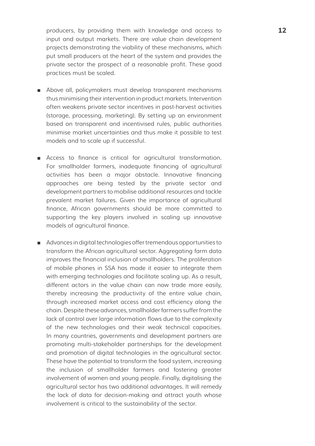producers, by providing them with knowledge and access to **12** input and output markets. There are value chain development projects demonstrating the viability of these mechanisms, which put small producers at the heart of the system and provides the private sector the prospect of a reasonable profit. These good practices must be scaled.

- Above all, policymakers must develop transparent mechanisms thus minimising their intervention in product markets. Intervention often weakens private sector incentives in post-harvest activities (storage, processing, marketing). By setting up an environment based on transparent and incentivised rules, public authorities minimise market uncertainties and thus make it possible to test models and to scale up if successful.
- Access to finance is critical for agricultural transformation. For smallholder farmers, inadequate financing of agricultural activities has been a major obstacle. Innovative financing approaches are being tested by the private sector and development partners to mobilise additional resources and tackle prevalent market failures. Given the importance of agricultural finance, African governments should be more committed to supporting the key players involved in scaling up innovative models of agricultural finance.
- Advances in digital technologies offer tremendous opportunities to transform the African agricultural sector. Aggregating farm data improves the financial inclusion of smallholders. The proliferation of mobile phones in SSA has made it easier to integrate them with emerging technologies and facilitate scaling up. As a result, different actors in the value chain can now trade more easily, thereby increasing the productivity of the entire value chain, through increased market access and cost efficiency along the chain. Despite these advances, smallholder farmers suffer from the lack of control over large information flows due to the complexity of the new technologies and their weak technical capacities. In many countries, governments and development partners are promoting multi-stakeholder partnerships for the development and promotion of digital technologies in the agricultural sector. These have the potential to transform the food system, increasing the inclusion of smallholder farmers and fostering greater involvement of women and young people. Finally, digitalising the agricultural sector has two additional advantages. It will remedy the lack of data for decision-making and attract youth whose involvement is critical to the sustainability of the sector.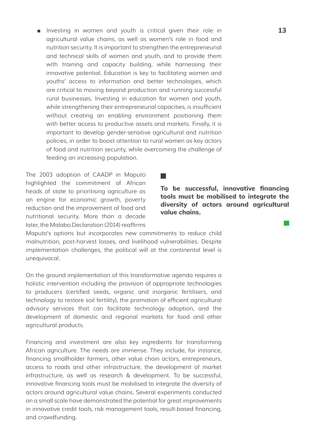■ Investing in women and youth is critical given their role in **13** agricultural value chains, as well as women's role in food and nutrition security. It is important to strengthen the entrepreneurial and technical skills of women and youth, and to provide them with training and capacity building, while harnessing their innovative potential. Education is key to facilitating women and youths' access to information and better technologies, which are critical to moving beyond production and running successful rural businesses. Investing in education for women and youth, while strengthening their entrepreneurial capacities, is insufficient without creating an enabling environment positioning them with better access to productive assets and markets. Finally, it is important to develop gender-sensitive agricultural and nutrition policies, in order to boost attention to rural women as key actors of food and nutrition security, while overcoming the challenge of feeding an increasing population.

**Talling** 

The 2003 adoption of CAADP in Maputo highlighted the commitment of African heads of state to prioritising agriculture as an engine for economic growth, poverty reduction and the improvement of food and nutritional security. More than a decade later, the Malabo Declaration (2014) reaffirms

**To be successful, innovative financing tools must be mobilised to integrate the diversity of actors around agricultural value chains.**

Maputo's options but incorporates new commitments to reduce child malnutrition, post-harvest losses, and livelihood vulnerabilities. Despite implementation challenges, the political will at the continental level is unequivocal.

On the ground implementation of this transformative agenda requires a holistic intervention including the provision of appropriate technologies to producers (certified seeds, organic and inorganic fertilisers, and technology to restore soil fertility), the promotion of efficient agricultural advisory services that can facilitate technology adoption, and the development of domestic and regional markets for food and other agricultural products.

Financing and investment are also key ingredients for transforming African agriculture. The needs are immense. They include, for instance, financing smallholder farmers, other value chain actors, entrepreneurs, access to roads and other infrastructure, the development of market infrastructure, as well as research & development. To be successful, innovative financing tools must be mobilised to integrate the diversity of actors around agricultural value chains. Several experiments conducted on a small scale have demonstrated the potential for great improvements in innovative credit tools, risk management tools, result-based financing, and crowdfunding.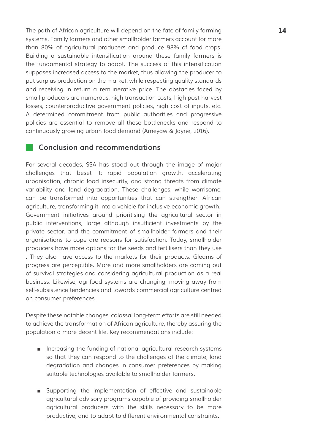The path of African agriculture will depend on the fate of family farming **14** systems. Family farmers and other smallholder farmers account for more than 80% of agricultural producers and produce 98% of food crops. Building a sustainable intensification around these family farmers is the fundamental strategy to adopt. The success of this intensification supposes increased access to the market, thus allowing the producer to put surplus production on the market, while respecting quality standards and receiving in return a remunerative price. The obstacles faced by small producers are numerous: high transaction costs, high post-harvest losses, counterproductive government policies, high cost of inputs, etc. A determined commitment from public authorities and progressive policies are essential to remove all these bottlenecks and respond to continuously growing urban food demand (Ameyaw & Jayne, 2016).

#### **Conclusion and recommendations**

For several decades, SSA has stood out through the image of major challenges that beset it: rapid population growth, accelerating urbanisation, chronic food insecurity, and strong threats from climate variability and land degradation. These challenges, while worrisome, can be transformed into opportunities that can strengthen African agriculture, transforming it into a vehicle for inclusive economic growth. Government initiatives around prioritising the agricultural sector in public interventions, large although insufficient investments by the private sector, and the commitment of smallholder farmers and their organisations to cope are reasons for satisfaction. Today, smallholder producers have more options for the seeds and fertilisers than they use . They also have access to the markets for their products. Gleams of progress are perceptible. More and more smallholders are coming out of survival strategies and considering agricultural production as a real business. Likewise, agrifood systems are changing, moving away from self-subsistence tendencies and towards commercial agriculture centred on consumer preferences.

Despite these notable changes, colossal long-term efforts are still needed to achieve the transformation of African agriculture, thereby assuring the population a more decent life. Key recommendations include:

- Increasing the funding of national agricultural research systems so that they can respond to the challenges of the climate, land degradation and changes in consumer preferences by making suitable technologies available to smallholder farmers.
- Supporting the implementation of effective and sustainable agricultural advisory programs capable of providing smallholder agricultural producers with the skills necessary to be more productive, and to adapt to different environmental constraints.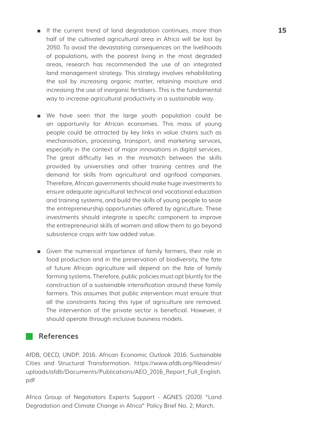- If the current trend of land degradation continues, more than **15** half of the cultivated agricultural area in Africa will be lost by 2050. To avoid the devastating consequences on the livelihoods of populations, with the poorest living in the most degraded areas, research has recommended the use of an integrated land management strategy. This strategy involves rehabilitating the soil by increasing organic matter, retaining moisture and increasing the use of inorganic fertilisers. This is the fundamental way to increase agricultural productivity in a sustainable way.
- We have seen that the large youth population could be an opportunity for African economies. This mass of young people could be attracted by key links in value chains such as mechanisation, processing, transport, and marketing services, especially in the context of major innovations in digital services. The great difficulty lies in the mismatch between the skills provided by universities and other training centres and the demand for skills from agricultural and agrifood companies. Therefore, African governments should make huge investments to ensure adequate agricultural technical and vocational education and training systems, and build the skills of young people to seize the entrepreneurship opportunities offered by agriculture. These investments should integrate a specific component to improve the entrepreneurial skills of women and allow them to go beyond subsistence crops with low added value.
- Given the numerical importance of family farmers, their role in food production and in the preservation of biodiversity, the fate of future African agriculture will depend on the fate of family farming systems. Therefore, public policies must opt bluntly for the construction of a sustainable intensification around these family farmers. This assumes that public intervention must ensure that all the constraints facing this type of agriculture are removed. The intervention of the private sector is beneficial. However, it should operate through inclusive business models.

#### **References**

AfDB, OECD, UNDP. 2016. African Economic Outlook 2016: Sustainable Cities and Structural Transformation. [https://www.afdb.org/fileadmin/](https://www.afdb.org/fileadmin/uploads/afdb/Documents/Publications/AEO_2016_Report_Full_English.pdf ) [uploads/afdb/Documents/Publications/AEO\\_2016\\_Report\\_Full\\_English.](https://www.afdb.org/fileadmin/uploads/afdb/Documents/Publications/AEO_2016_Report_Full_English.pdf ) [pdf](https://www.afdb.org/fileadmin/uploads/afdb/Documents/Publications/AEO_2016_Report_Full_English.pdf )

Africa Group of Negotiators Experts Support - AGNES (2020) "Land Degradation and Climate Change in Africa" Policy Brief No. 2; March.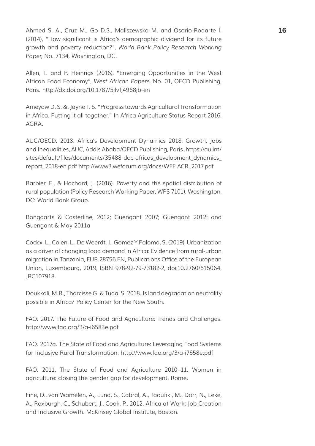Ahmed S. A., Cruz M., Go D.S., Maliszewska M. and Osorio-Rodarte I. **16** (2014), "How significant is Africa's demographic dividend for its future growth and poverty reduction?", *World Bank Policy Research Working Paper*, No. 7134, Washington, DC.

Allen, T. and P. Heinrigs (2016), "Emerging Opportunities in the West African Food Economy", *West African Papers,* No. 01, OECD Publishing, Paris. <http://dx.doi.org/10.1787/5jlvfj4968jb-en>

Ameyaw D. S. &. Jayne T. S. "Progress towards Agricultural Transformation in Africa. Putting it all together." In Africa Agriculture Status Report 2016, AGRA.

AUC/OECD. 2018. Africa's Development Dynamics 2018: Growth, Jobs and Inequalities, AUC, Addis Ababa/OECD Publishing, Paris. [https://au.int/](https://au.int/sites/default/files/documents/35488-doc-africas_development_dynamics_report_2018-en.pdf http://www3.weforum.org/docs/WEF ACR_2017.pdf) sites/default/files/documents/35488-doc-africas\_development\_dynamics [report\\_2018-en.pdf http://www3.weforum.org/docs/WEF ACR\\_2017.pdf](https://au.int/sites/default/files/documents/35488-doc-africas_development_dynamics_report_2018-en.pdf http://www3.weforum.org/docs/WEF ACR_2017.pdf)

Barbier, E., & Hochard, J. (2016). Poverty and the spatial distribution of rural population (Policy Research Working Paper, WPS 7101). Washington, DC: World Bank Group.

Bongaarts & Casterline, 2012; Guengant 2007; Guengant 2012; and Guengant & May 2011a

Cockx, L., Colen, L., De Weerdt, J., Gomez Y Paloma, S. (2019), Urbanization as a driver of changing food demand in Africa: Evidence from rural-urban migration in Tanzania, EUR 28756 EN, Publications Office of the European Union, Luxembourg, 2019, ISBN 978-92-79-73182-2, doi:10.2760/515064, JRC107918.

Doukkali, M.R., Tharcisse G. & Tudal S. 2018. Is land degradation neutrality possible in Africa? Policy Center for the New South.

FAO. 2017. The Future of Food and Agriculture: Trends and Challenges. <http://www.fao.org/3/a-i6583e.pdf>

FAO. 2017a. The State of Food and Agriculture: Leveraging Food Systems for Inclusive Rural Transformation.<http://www.fao.org/3/a-i7658e.pdf>

FAO. 2011. The State of Food and Agriculture 2010–11. Women in agriculture: closing the gender gap for development. Rome.

Fine, D., van Wamelen, A., Lund, S., Cabral, A., Taoufiki, M., Dörr, N., Leke, A., Roxburgh, C., Schubert, J., Cook, P., 2012. Africa at Work: Job Creation and Inclusive Growth. McKinsey Global Institute, Boston.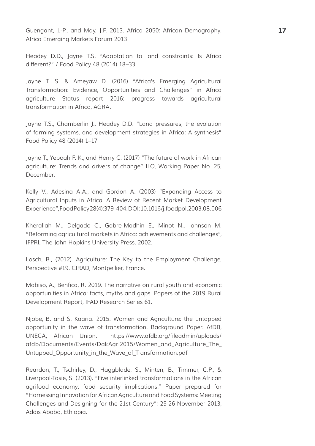Guengant, J.-P., and May, J.F. 2013. Africa 2050: African Demography. **17** Africa Emerging Markets Forum 2013

Headey D.D., Jayne T.S. "Adaptation to land constraints: Is Africa different?" / Food Policy 48 (2014) 18–33

Jayne T. S. & Ameyaw D. (2016) "Africa's Emerging Agricultural Transformation: Evidence, Opportunities and Challenges" in Africa agriculture Status report 2016: progress towards agricultural transformation in Africa, AGRA.

Jayne T.S., Chamberlin J., Headey D.D. "Land pressures, the evolution of farming systems, and development strategies in Africa: A synthesis" Food Policy 48 (2014) 1–17

Jayne T., Yeboah F. K., and Henry C. (2017) "The future of work in African agriculture: Trends and drivers of change" ILO, Working Paper No. 25, December.

Kelly V., Adesina A.A., and Gordon A. (2003) "Expanding Access to Agricultural Inputs in Africa: A Review of Recent Market Development Experience", Food Policy 28(4):379-404. DOI: 10.1016/j.foodpol.2003.08.006

Kherallah M., Delgado C., Gabre-Madhin E., Minot N., Johnson M. "Reforming agricultural markets in Africa: achievements and challenges", IFPRI, The John Hopkins University Press, 2002.

Losch, B., (2012). Agriculture: The Key to the Employment Challenge, Perspective #19. CIRAD, Montpellier, France.

Mabiso, A., Benfica, R. 2019. The narrative on rural youth and economic opportunities in Africa: facts, myths and gaps. Papers of the 2019 Rural Development Report, IFAD Research Series 61.

Njobe, B. and S. Kaaria. 2015. Women and Agriculture: the untapped opportunity in the wave of transformation. Background Paper. AfDB, UNECA, African Union. [https://www.afdb.org/fileadmin/uploads/](https://www.afdb.org/fileadmin/uploads/afdb/Documents/Events/DakAgri2015/Women_and_Agriculture_The_Untapped_Opportunity_in_the_Wave_of_Transformation.pdf ) [afdb/Documents/Events/DakAgri2015/Women\\_and\\_Agriculture\\_The\\_](https://www.afdb.org/fileadmin/uploads/afdb/Documents/Events/DakAgri2015/Women_and_Agriculture_The_Untapped_Opportunity_in_the_Wave_of_Transformation.pdf ) Untapped Opportunity in the Wave of Transformation.pdf

Reardon, T., Tschirley, D., Haggblade, S., Minten, B., Timmer, C.P., & Liverpool-Tasie, S. (2013). "Five interlinked transformations in the African agrifood economy: food security implications." Paper prepared for "Harnessing Innovation for African Agriculture and Food Systems: Meeting Challenges and Designing for the 21st Century"; 25-26 November 2013, Addis Ababa, Ethiopia.